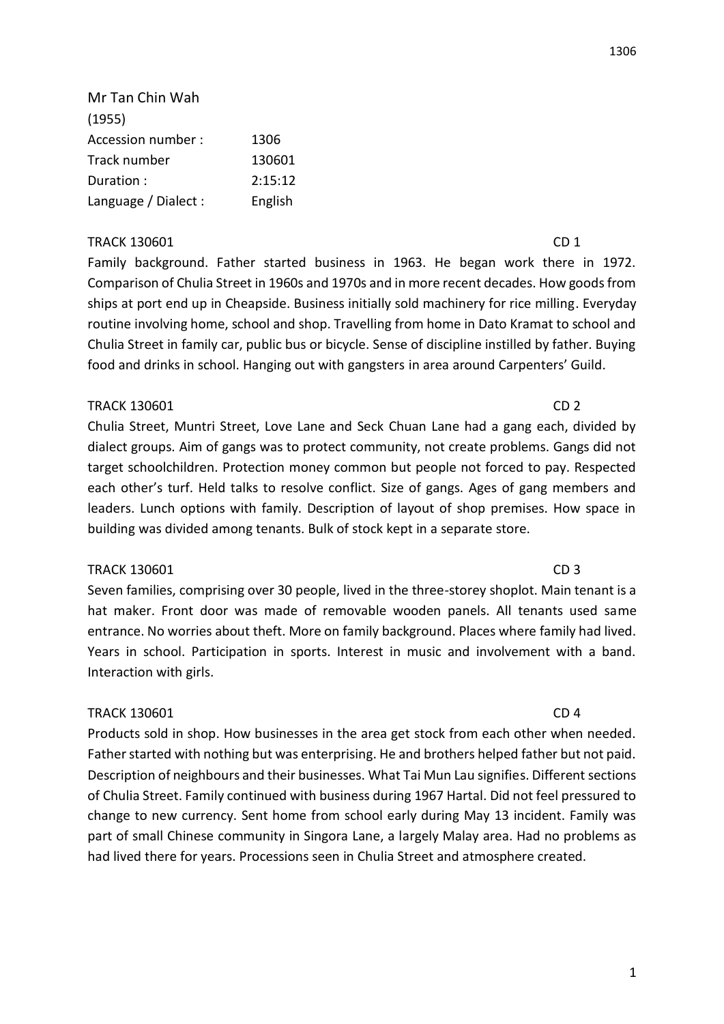1306

Mr Tan Chin Wah (1955) Accession number : 1306 Track number 130601 Duration : 2:15:12 Language / Dialect : English

# TRACK 130601 CD 1

Family background. Father started business in 1963. He began work there in 1972. Comparison of Chulia Street in 1960s and 1970s and in more recent decades. How goods from ships at port end up in Cheapside. Business initially sold machinery for rice milling. Everyday routine involving home, school and shop. Travelling from home in Dato Kramat to school and Chulia Street in family car, public bus or bicycle. Sense of discipline instilled by father. Buying food and drinks in school. Hanging out with gangsters in area around Carpenters' Guild.

# TRACK 130601 CD 2

Chulia Street, Muntri Street, Love Lane and Seck Chuan Lane had a gang each, divided by dialect groups. Aim of gangs was to protect community, not create problems. Gangs did not target schoolchildren. Protection money common but people not forced to pay. Respected each other's turf. Held talks to resolve conflict. Size of gangs. Ages of gang members and leaders. Lunch options with family. Description of layout of shop premises. How space in building was divided among tenants. Bulk of stock kept in a separate store.

## TRACK 130601 CD 3

Seven families, comprising over 30 people, lived in the three-storey shoplot. Main tenant is a hat maker. Front door was made of removable wooden panels. All tenants used same entrance. No worries about theft. More on family background. Places where family had lived. Years in school. Participation in sports. Interest in music and involvement with a band. Interaction with girls.

## TRACK 130601 CD 4

Products sold in shop. How businesses in the area get stock from each other when needed. Father started with nothing but was enterprising. He and brothers helped father but not paid. Description of neighbours and their businesses. What Tai Mun Lau signifies. Different sections of Chulia Street. Family continued with business during 1967 Hartal. Did not feel pressured to change to new currency. Sent home from school early during May 13 incident. Family was part of small Chinese community in Singora Lane, a largely Malay area. Had no problems as had lived there for years. Processions seen in Chulia Street and atmosphere created.